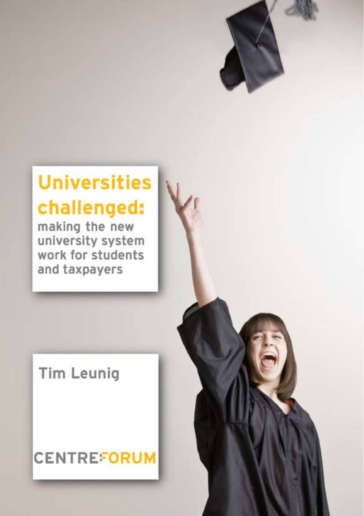# **Universities** challenged:

making the new university system work for students and taxpayers

## **Tim Leunig**

## **CENTREFORUM**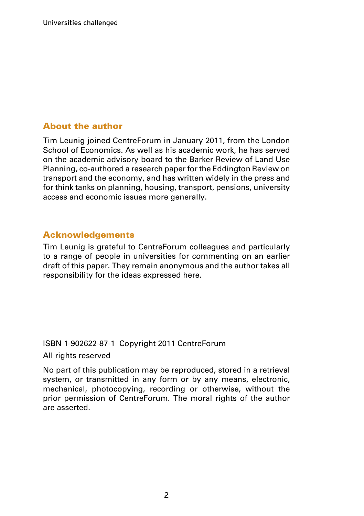#### About the author

Tim Leunig joined CentreForum in January 2011, from the London School of Economics. As well as his academic work, he has served on the academic advisory board to the Barker Review of Land Use Planning, co-authored a research paper for the Eddington Review on transport and the economy, and has written widely in the press and for think tanks on planning, housing, transport, pensions, university access and economic issues more generally.

#### Acknowledgements

Tim Leunig is grateful to CentreForum colleagues and particularly to a range of people in universities for commenting on an earlier draft of this paper. They remain anonymous and the author takes all responsibility for the ideas expressed here.

#### ISBN 1-902622-87-1 Copyright 2011 CentreForum

All rights reserved

No part of this publication may be reproduced, stored in a retrieval system, or transmitted in any form or by any means, electronic, mechanical, photocopying, recording or otherwise, without the prior permission of CentreForum. The moral rights of the author are asserted.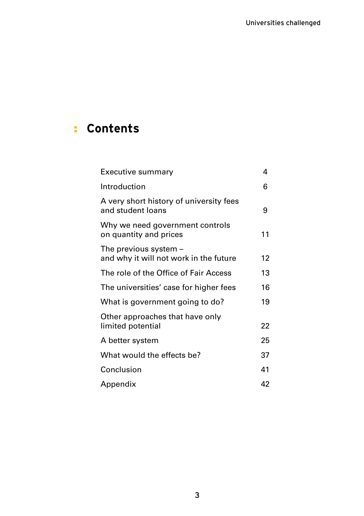### **Contents** :

| Executive summary                                                 | 4  |
|-------------------------------------------------------------------|----|
| Introduction                                                      | 6  |
| A very short history of university fees<br>and student loans      | 9  |
| Why we need government controls<br>on quantity and prices         | 11 |
| The previous system $-$<br>and why it will not work in the future | 12 |
| The role of the Office of Fair Access                             | 13 |
| The universities' case for higher fees                            | 16 |
| What is government going to do?                                   | 19 |
| Other approaches that have only<br>limited potential              | 22 |
| A better system                                                   | 25 |
| What would the effects be?                                        | 37 |
| Conclusion                                                        | 41 |
| Appendix                                                          | 42 |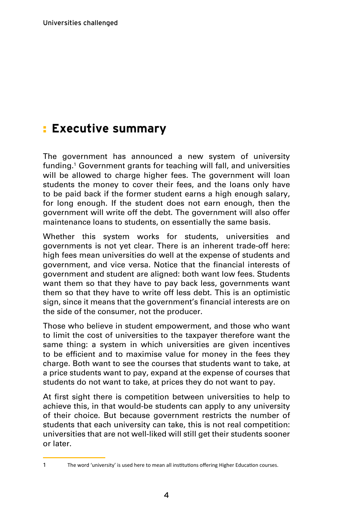### **Executive summary** :

The government has announced a new system of university funding.1 Government grants for teaching will fall, and universities will be allowed to charge higher fees. The government will loan students the money to cover their fees, and the loans only have to be paid back if the former student earns a high enough salary, for long enough. If the student does not earn enough, then the government will write off the debt. The government will also offer maintenance loans to students, on essentially the same basis.

Whether this system works for students, universities and governments is not yet clear. There is an inherent trade-off here: high fees mean universities do well at the expense of students and government, and vice versa. Notice that the financial interests of government and student are aligned: both want low fees. Students want them so that they have to pay back less, governments want them so that they have to write off less debt. This is an optimistic sign, since it means that the government's financial interests are on the side of the consumer, not the producer.

Those who believe in student empowerment, and those who want to limit the cost of universities to the taxpayer therefore want the same thing: a system in which universities are given incentives to be efficient and to maximise value for money in the fees they charge. Both want to see the courses that students want to take, at a price students want to pay, expand at the expense of courses that students do not want to take, at prices they do not want to pay.

At first sight there is competition between universities to help to achieve this, in that would-be students can apply to any university of their choice. But because government restricts the number of students that each university can take, this is not real competition: universities that are not well-liked will still get their students sooner or later.

<sup>1</sup> The word 'university' is used here to mean all institutions offering Higher Education courses.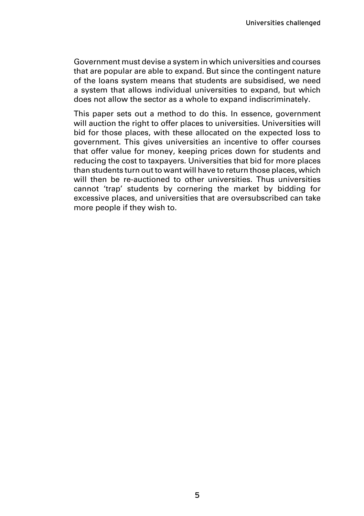Government must devise a system in which universities and courses that are popular are able to expand. But since the contingent nature of the loans system means that students are subsidised, we need a system that allows individual universities to expand, but which does not allow the sector as a whole to expand indiscriminately.

This paper sets out a method to do this. In essence, government will auction the right to offer places to universities. Universities will bid for those places, with these allocated on the expected loss to government. This gives universities an incentive to offer courses that offer value for money, keeping prices down for students and reducing the cost to taxpayers. Universities that bid for more places than students turn out to want will have to return those places, which will then be re-auctioned to other universities. Thus universities cannot 'trap' students by cornering the market by bidding for excessive places, and universities that are oversubscribed can take more people if they wish to.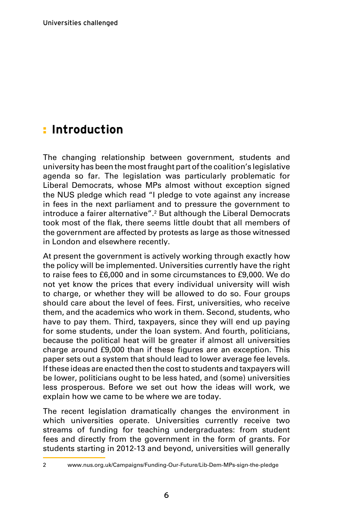### <mark>:</mark> Introduction

The changing relationship between government, students and university has been the most fraught part of the coalition's legislative agenda so far. The legislation was particularly problematic for Liberal Democrats, whose MPs almost without exception signed the NUS pledge which read "I pledge to vote against any increase in fees in the next parliament and to pressure the government to introduce a fairer alternative".<sup>2</sup> But although the Liberal Democrats took most of the flak, there seems little doubt that all members of the government are affected by protests as large as those witnessed in London and elsewhere recently.

At present the government is actively working through exactly how the policy will be implemented. Universities currently have the right to raise fees to £6,000 and in some circumstances to £9,000. We do not yet know the prices that every individual university will wish to charge, or whether they will be allowed to do so. Four groups should care about the level of fees. First, universities, who receive them, and the academics who work in them. Second, students, who have to pay them. Third, taxpayers, since they will end up paying for some students, under the loan system. And fourth, politicians, because the political heat will be greater if almost all universities charge around £9,000 than if these figures are an exception. This paper sets out a system that should lead to lower average fee levels. If these ideas are enacted then the cost to students and taxpayers will be lower, politicians ought to be less hated, and (some) universities less prosperous. Before we set out how the ideas will work, we explain how we came to be where we are today.

The recent legislation dramatically changes the environment in which universities operate. Universities currently receive two streams of funding for teaching undergraduates: from student fees and directly from the government in the form of grants. For students starting in 2012-13 and beyond, universities will generally

<sup>2</sup> www.nus.org.uk/Campaigns/Funding-Our-Future/Lib-Dem-MPs-sign-the-pledge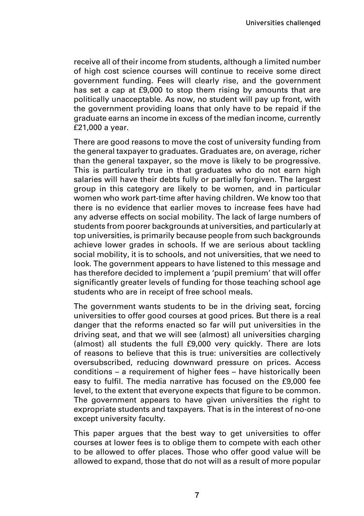receive all of their income from students, although a limited number of high cost science courses will continue to receive some direct government funding. Fees will clearly rise, and the government has set a cap at £9,000 to stop them rising by amounts that are politically unacceptable. As now, no student will pay up front, with the government providing loans that only have to be repaid if the graduate earns an income in excess of the median income, currently £21,000 a year.

There are good reasons to move the cost of university funding from the general taxpayer to graduates. Graduates are, on average, richer than the general taxpayer, so the move is likely to be progressive. This is particularly true in that graduates who do not earn high salaries will have their debts fully or partially forgiven. The largest group in this category are likely to be women, and in particular women who work part-time after having children. We know too that there is no evidence that earlier moves to increase fees have had any adverse effects on social mobility. The lack of large numbers of students from poorer backgrounds at universities, and particularly at top universities, is primarily because people from such backgrounds achieve lower grades in schools. If we are serious about tackling social mobility, it is to schools, and not universities, that we need to look. The government appears to have listened to this message and has therefore decided to implement a 'pupil premium' that will offer significantly greater levels of funding for those teaching school age students who are in receipt of free school meals.

The government wants students to be in the driving seat, forcing universities to offer good courses at good prices. But there is a real danger that the reforms enacted so far will put universities in the driving seat, and that we will see (almost) all universities charging (almost) all students the full £9,000 very quickly. There are lots of reasons to believe that this is true: universities are collectively oversubscribed, reducing downward pressure on prices. Access conditions – a requirement of higher fees – have historically been easy to fulfil. The media narrative has focused on the £9,000 fee level, to the extent that everyone expects that figure to be common. The government appears to have given universities the right to expropriate students and taxpayers. That is in the interest of no-one except university faculty.

This paper argues that the best way to get universities to offer courses at lower fees is to oblige them to compete with each other to be allowed to offer places. Those who offer good value will be allowed to expand, those that do not will as a result of more popular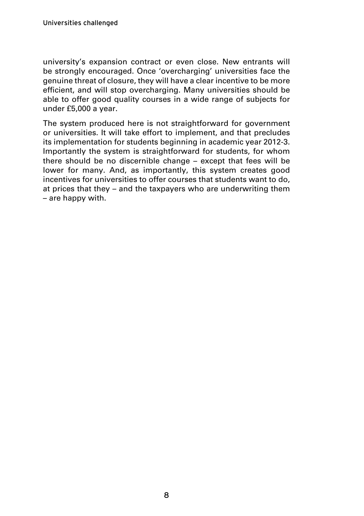university's expansion contract or even close. New entrants will be strongly encouraged. Once 'overcharging' universities face the genuine threat of closure, they will have a clear incentive to be more efficient, and will stop overcharging. Many universities should be able to offer good quality courses in a wide range of subjects for under £5,000 a year.

The system produced here is not straightforward for government or universities. It will take effort to implement, and that precludes its implementation for students beginning in academic year 2012-3. Importantly the system is straightforward for students, for whom there should be no discernible change – except that fees will be lower for many. And, as importantly, this system creates good incentives for universities to offer courses that students want to do, at prices that they – and the taxpayers who are underwriting them – are happy with.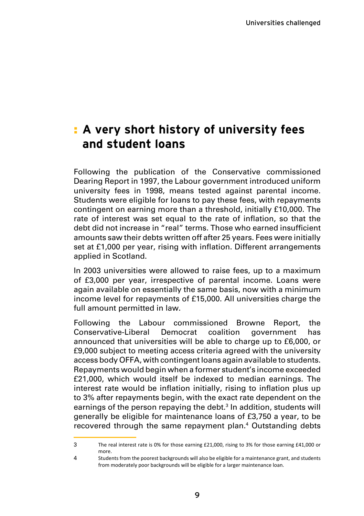### **A very short history of university fees**  : **and student loans**

Following the publication of the Conservative commissioned Dearing Report in 1997, the Labour government introduced uniform university fees in 1998, means tested against parental income. Students were eligible for loans to pay these fees, with repayments contingent on earning more than a threshold, initially £10,000. The rate of interest was set equal to the rate of inflation, so that the debt did not increase in "real" terms. Those who earned insufficient amounts saw their debts written off after 25 years. Fees were initially set at £1,000 per year, rising with inflation. Different arrangements applied in Scotland.

In 2003 universities were allowed to raise fees, up to a maximum of £3,000 per year, irrespective of parental income. Loans were again available on essentially the same basis, now with a minimum income level for repayments of £15,000. All universities charge the full amount permitted in law.

Following the Labour commissioned Browne Report, the Conservative-Liberal Democrat coalition government has announced that universities will be able to charge up to £6,000, or £9,000 subject to meeting access criteria agreed with the university access body OFFA, with contingent loans again available to students. Repayments would begin when a former student's income exceeded £21,000, which would itself be indexed to median earnings. The interest rate would be inflation initially, rising to inflation plus up to 3% after repayments begin, with the exact rate dependent on the earnings of the person repaying the debt.<sup>3</sup> In addition, students will generally be eligible for maintenance loans of £3,750 a year, to be recovered through the same repayment plan.<sup>4</sup> Outstanding debts

 $\mathbf{z}$ The real interest rate is 0% for those earning £21,000, rising to 3% for those earning £41,000 or more.

<sup>4</sup> Students from the poorest backgrounds will also be eligible for a maintenance grant, and students from moderately poor backgrounds will be eligible for a larger maintenance loan.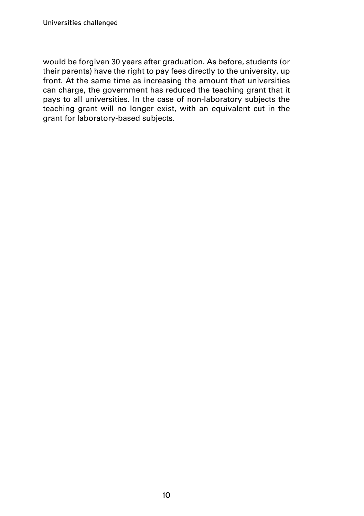would be forgiven 30 years after graduation. As before, students (or their parents) have the right to pay fees directly to the university, up front. At the same time as increasing the amount that universities can charge, the government has reduced the teaching grant that it pays to all universities. In the case of non-laboratory subjects the teaching grant will no longer exist, with an equivalent cut in the grant for laboratory-based subjects.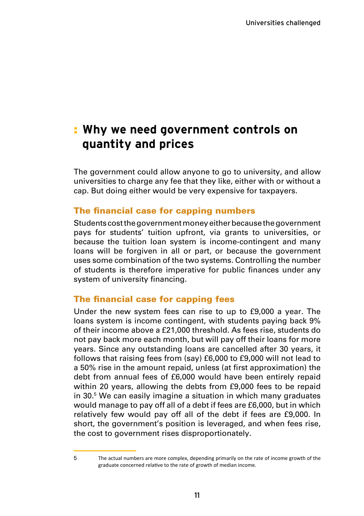### **Why we need government controls on**  :**quantity and prices**

The government could allow anyone to go to university, and allow universities to charge any fee that they like, either with or without a cap. But doing either would be very expensive for taxpayers.

#### The financial case for capping numbers

Students cost the government money either because the government pays for students' tuition upfront, via grants to universities, or because the tuition loan system is income-contingent and many loans will be forgiven in all or part, or because the government uses some combination of the two systems. Controlling the number of students is therefore imperative for public finances under any system of university financing.

#### The financial case for capping fees

Under the new system fees can rise to up to £9,000 a year. The loans system is income contingent, with students paying back 9% of their income above a £21,000 threshold. As fees rise, students do not pay back more each month, but will pay off their loans for more years. Since any outstanding loans are cancelled after 30 years, it follows that raising fees from (say) £6,000 to £9,000 will not lead to a 50% rise in the amount repaid, unless (at first approximation) the debt from annual fees of £6,000 would have been entirely repaid within 20 years, allowing the debts from £9,000 fees to be repaid in 30.<sup>5</sup> We can easily imagine a situation in which many graduates would manage to pay off all of a debt if fees are £6,000, but in which relatively few would pay off all of the debt if fees are £9,000. In short, the government's position is leveraged, and when fees rise, the cost to government rises disproportionately.

<sup>5</sup> The actual numbers are more complex, depending primarily on the rate of income growth of the graduate concerned relative to the rate of growth of median income.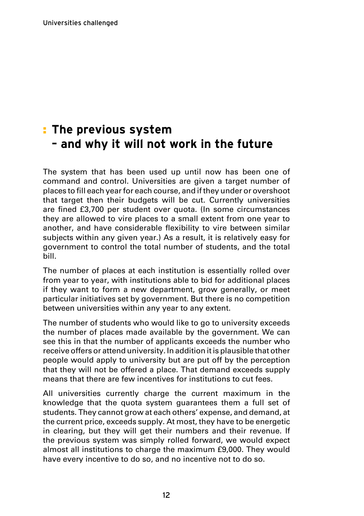### **The previous system**  :**– and why it will not work in the future**

The system that has been used up until now has been one of command and control. Universities are given a target number of places to fill each yearfor each course, and if they under or overshoot that target then their budgets will be cut. Currently universities are fined £3,700 per student over quota. (In some circumstances they are allowed to vire places to a small extent from one year to another, and have considerable flexibility to vire between similar subjects within any given year.) As a result, it is relatively easy for government to control the total number of students, and the total bill.

The number of places at each institution is essentially rolled over from year to year, with institutions able to bid for additional places if they want to form a new department, grow generally, or meet particular initiatives set by government. But there is no competition between universities within any year to any extent.

The number of students who would like to go to university exceeds the number of places made available by the government. We can see this in that the number of applicants exceeds the number who receive offers or attend university. In addition it is plausible that other people would apply to university but are put off by the perception that they will not be offered a place. That demand exceeds supply means that there are few incentives for institutions to cut fees.

All universities currently charge the current maximum in the knowledge that the quota system guarantees them a full set of students. They cannot grow at each others' expense, and demand, at the current price, exceeds supply. At most, they have to be energetic in clearing, but they will get their numbers and their revenue. If the previous system was simply rolled forward, we would expect almost all institutions to charge the maximum £9,000. They would have every incentive to do so, and no incentive not to do so.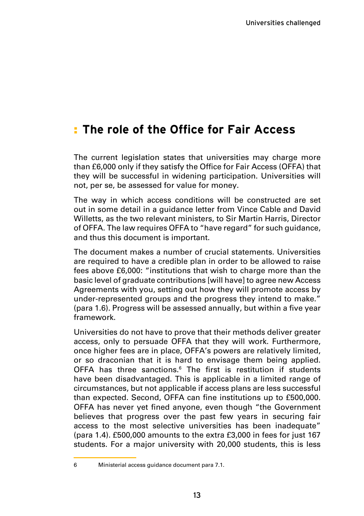### **The role of the Office for Fair Access** :

The current legislation states that universities may charge more than £6,000 only if they satisfy the Office for Fair Access (OFFA) that they will be successful in widening participation. Universities will not, per se, be assessed for value for money.

The way in which access conditions will be constructed are set out in some detail in a guidance letter from Vince Cable and David Willetts, as the two relevant ministers, to Sir Martin Harris, Director of OFFA. The law requires OFFA to "have regard" for such guidance, and thus this document is important.

The document makes a number of crucial statements. Universities are required to have a credible plan in order to be allowed to raise fees above £6,000: "institutions that wish to charge more than the basic level of graduate contributions [will have] to agree new Access Agreements with you, setting out how they will promote access by under-represented groups and the progress they intend to make." (para 1.6). Progress will be assessed annually, but within a five year framework.

Universities do not have to prove that their methods deliver greater access, only to persuade OFFA that they will work. Furthermore, once higher fees are in place, OFFA's powers are relatively limited, or so draconian that it is hard to envisage them being applied. OFFA has three sanctions.<sup>6</sup> The first is restitution if students have been disadvantaged. This is applicable in a limited range of circumstances, but not applicable if access plans are less successful than expected. Second, OFFA can fine institutions up to £500,000. OFFA has never yet fined anyone, even though "the Government believes that progress over the past few years in securing fair access to the most selective universities has been inadequate" (para 1.4). £500,000 amounts to the extra £3,000 in fees for just 167 students. For a major university with 20,000 students, this is less

<sup>6</sup> Ministerial access guidance document para 7.1.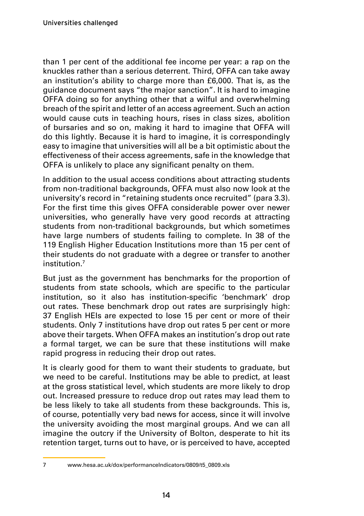than 1 per cent of the additional fee income per year: a rap on the knuckles rather than a serious deterrent. Third, OFFA can take away an institution's ability to charge more than £6,000. That is, as the guidance document says "the major sanction". It is hard to imagine OFFA doing so for anything other that a wilful and overwhelming breach of the spirit and letter of an access agreement. Such an action would cause cuts in teaching hours, rises in class sizes, abolition of bursaries and so on, making it hard to imagine that OFFA will do this lightly. Because it is hard to imagine, it is correspondingly easy to imagine that universities will all be a bit optimistic about the effectiveness of their access agreements, safe in the knowledge that OFFA is unlikely to place any significant penalty on them.

In addition to the usual access conditions about attracting students from non-traditional backgrounds, OFFA must also now look at the university's record in "retaining students once recruited" (para 3.3). For the first time this gives OFFA considerable power over newer universities, who generally have very good records at attracting students from non-traditional backgrounds, but which sometimes have large numbers of students failing to complete. In 38 of the 119 English Higher Education Institutions more than 15 per cent of their students do not graduate with a degree or transfer to another institution<sup>7</sup>

But just as the government has benchmarks for the proportion of students from state schools, which are specific to the particular institution, so it also has institution-specific 'benchmark' drop out rates. These benchmark drop out rates are surprisingly high: 37 English HEIs are expected to lose 15 per cent or more of their students. Only 7 institutions have drop out rates 5 per cent or more above their targets. When OFFA makes an institution's drop out rate a formal target, we can be sure that these institutions will make rapid progress in reducing their drop out rates.

It is clearly good for them to want their students to graduate, but we need to be careful. Institutions may be able to predict, at least at the gross statistical level, which students are more likely to drop out. Increased pressure to reduce drop out rates may lead them to be less likely to take all students from these backgrounds. This is, of course, potentially very bad news for access, since it will involve the university avoiding the most marginal groups. And we can all imagine the outcry if the University of Bolton, desperate to hit its retention target, turns out to have, or is perceived to have, accepted

<sup>7</sup> www.hesa.ac.uk/dox/performanceIndicators/0809/t5\_0809.xls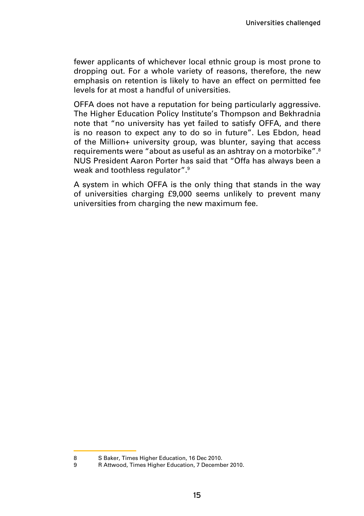fewer applicants of whichever local ethnic group is most prone to dropping out. For a whole variety of reasons, therefore, the new emphasis on retention is likely to have an effect on permitted fee levels for at most a handful of universities.

OFFA does not have a reputation for being particularly aggressive. The Higher Education Policy Institute's Thompson and Bekhradnia note that "no university has yet failed to satisfy OFFA, and there is no reason to expect any to do so in future". Les Ebdon, head of the Million+ university group, was blunter, saying that access requirements were "about as useful as an ashtray on a motorbike".8 NUS President Aaron Porter has said that "Offa has always been a weak and toothless regulator".<sup>9</sup>

A system in which OFFA is the only thing that stands in the way of universities charging £9,000 seems unlikely to prevent many universities from charging the new maximum fee.

<sup>8</sup> S Baker, Times Higher Education, 16 Dec 2010.<br>8 Attwood Times Higher Education, 7 Decemb

<sup>9</sup> R Attwood, Times Higher Education, 7 December 2010.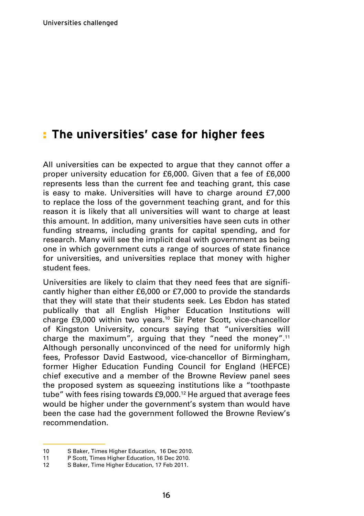### **The universities' case for higher fees** :

All universities can be expected to argue that they cannot offer a proper university education for £6,000. Given that a fee of £6,000 represents less than the current fee and teaching grant, this case is easy to make. Universities will have to charge around £7,000 to replace the loss of the government teaching grant, and for this reason it is likely that all universities will want to charge at least this amount. In addition, many universities have seen cuts in other funding streams, including grants for capital spending, and for research. Many will see the implicit deal with government as being one in which government cuts a range of sources of state finance for universities, and universities replace that money with higher student fees.

Universities are likely to claim that they need fees that are significantly higher than either £6,000 or £7,000 to provide the standards that they will state that their students seek. Les Ebdon has stated publically that all English Higher Education Institutions will charge £9,000 within two years.<sup>10</sup> Sir Peter Scott, vice-chancellor of Kingston University, concurs saying that "universities will charge the maximum", arguing that they "need the money".11 Although personally unconvinced of the need for uniformly high fees, Professor David Eastwood, vice-chancellor of Birmingham, former Higher Education Funding Council for England (HEFCE) chief executive and a member of the Browne Review panel sees the proposed system as squeezing institutions like a "toothpaste tube" with fees rising towards £9,000.12 He argued that average fees would be higher under the government's system than would have been the case had the government followed the Browne Review's recommendation.

<sup>10</sup> S Baker, Times Higher Education, 16 Dec 2010.<br>11 P Scott Times Higher Education, 16 Dec 2010.

P Scott, Times Higher Education, 16 Dec 2010.

<sup>12</sup> S Baker, Time Higher Education, 17 Feb 2011.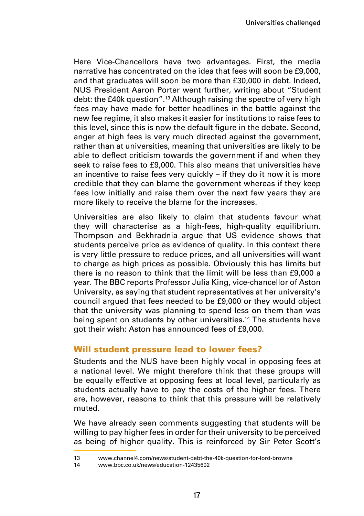Here Vice-Chancellors have two advantages. First, the media narrative has concentrated on the idea that fees will soon be £9,000, and that graduates will soon be more than £30,000 in debt. Indeed, NUS President Aaron Porter went further, writing about "Student debt: the £40k question".<sup>13</sup> Although raising the spectre of very high fees may have made for better headlines in the battle against the new fee regime, it also makes it easier for institutions to raise fees to this level, since this is now the default figure in the debate. Second, anger at high fees is very much directed against the government, rather than at universities, meaning that universities are likely to be able to deflect criticism towards the government if and when they seek to raise fees to £9,000. This also means that universities have an incentive to raise fees very quickly – if they do it now it is more credible that they can blame the government whereas if they keep fees low initially and raise them over the next few years they are more likely to receive the blame for the increases.

Universities are also likely to claim that students favour what they will characterise as a high-fees, high-quality equilibrium. Thompson and Bekhradnia argue that US evidence shows that students perceive price as evidence of quality. In this context there is very little pressure to reduce prices, and all universities will want to charge as high prices as possible. Obviously this has limits but there is no reason to think that the limit will be less than £9,000 a year. The BBC reports Professor Julia King, vice-chancellor of Aston University, as saying that student representatives at her university's council argued that fees needed to be £9,000 or they would object that the university was planning to spend less on them than was being spent on students by other universities.<sup>14</sup> The students have got their wish: Aston has announced fees of £9,000.

#### Will student pressure lead to lower fees?

Students and the NUS have been highly vocal in opposing fees at a national level. We might therefore think that these groups will be equally effective at opposing fees at local level, particularly as students actually have to pay the costs of the higher fees. There are, however, reasons to think that this pressure will be relatively muted.

We have already seen comments suggesting that students will be willing to pay higher fees in order for their university to be perceived as being of higher quality. This is reinforced by Sir Peter Scott's

<sup>13</sup> www.channel4.com/news/student-debt-the-40k-question-for-lord-browne<br>14 www.bbc.co.uk/news/education-12435602

www.bbc.co.uk/news/education-12435602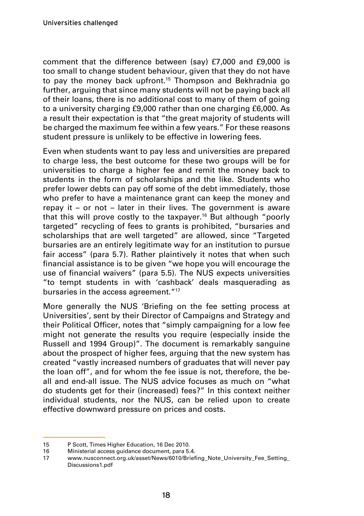comment that the difference between (say) £7,000 and £9,000 is too small to change student behaviour, given that they do not have to pay the money back upfront.<sup>15</sup> Thompson and Bekhradnia go further, arguing that since many students will not be paying back all of their loans, there is no additional cost to many of them of going to a university charging £9,000 rather than one charging £6,000. As a result their expectation is that "the great majority of students will be charged the maximum fee within a few years." For these reasons student pressure is unlikely to be effective in lowering fees.

Even when students want to pay less and universities are prepared to charge less, the best outcome for these two groups will be for universities to charge a higher fee and remit the money back to students in the form of scholarships and the like. Students who prefer lower debts can pay off some of the debt immediately, those who prefer to have a maintenance grant can keep the money and repay it – or not – later in their lives. The government is aware that this will prove costly to the taxpayer.16 But although "poorly targeted" recycling of fees to grants is prohibited, "bursaries and scholarships that are well targeted" are allowed, since "Targeted bursaries are an entirely legitimate way for an institution to pursue fair access" (para 5.7). Rather plaintively it notes that when such financial assistance is to be given "we hope you will encourage the use of financial waivers" (para 5.5). The NUS expects universities "to tempt students in with 'cashback' deals masquerading as bursaries in the access agreement."<sup>17</sup>

More generally the NUS 'Briefing on the fee setting process at Universities', sent by their Director of Campaigns and Strategy and their Political Officer, notes that "simply campaigning for a low fee might not generate the results you require (especially inside the Russell and 1994 Group)". The document is remarkably sanguine about the prospect of higher fees, arguing that the new system has created "vastly increased numbers of graduates that will never pay the loan off", and for whom the fee issue is not, therefore, the beall and end-all issue. The NUS advice focuses as much on "what do students get for their (increased) fees?" In this context neither individual students, nor the NUS, can be relied upon to create effective downward pressure on prices and costs.

<sup>15</sup> P Scott, Times Higher Education, 16 Dec 2010.

<sup>16</sup> Ministerial access guidance document, para 5.4.<br>17 WWW.pusconnect.org.uk/asset/News/6010/Brief

www.nusconnect.org.uk/asset/News/6010/Briefing\_Note\_University\_Fee\_Setting Discussions1.pdf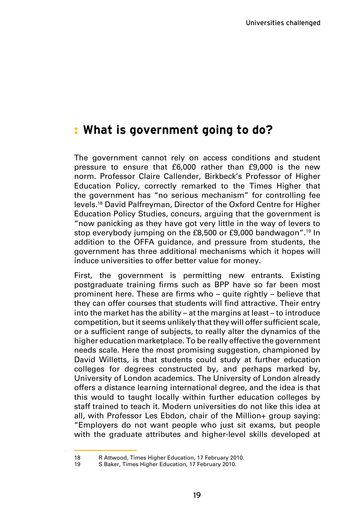### **What is government going to do?** :

The government cannot rely on access conditions and student pressure to ensure that £6,000 rather than £9,000 is the new norm. Professor Claire Callender, Birkbeck's Professor of Higher Education Policy, correctly remarked to the Times Higher that the government has "no serious mechanism" for controlling fee levels.18 David Palfreyman, Director of the Oxford Centre for Higher Education Policy Studies, concurs, arguing that the government is "now panicking as they have got very little in the way of levers to stop everybody jumping on the £8,500 or £9,000 bandwagon".19 In addition to the OFFA guidance, and pressure from students, the government has three additional mechanisms which it hopes will induce universities to offer better value for money.

First, the government is permitting new entrants. Existing postgraduate training firms such as BPP have so far been most prominent here. These are firms who – quite rightly – believe that they can offer courses that students will find attractive. Their entry into the market has the ability – at the margins at least – to introduce competition, but it seems unlikely that they will offer sufficient scale, or a sufficient range of subjects, to really alter the dynamics of the higher education marketplace. To be really effective the government needs scale. Here the most promising suggestion, championed by David Willetts, is that students could study at further education colleges for degrees constructed by, and perhaps marked by, University of London academics. The University of London already offers a distance learning international degree, and the idea is that this would to taught locally within further education colleges by staff trained to teach it. Modern universities do not like this idea at all, with Professor Les Ebdon, chair of the Million+ group saying: "Employers do not want people who just sit exams, but people with the graduate attributes and higher-level skills developed at

<sup>18</sup> R Attwood, Times Higher Education, 17 February 2010.

<sup>19</sup> S Baker, Times Higher Education, 17 February 2010.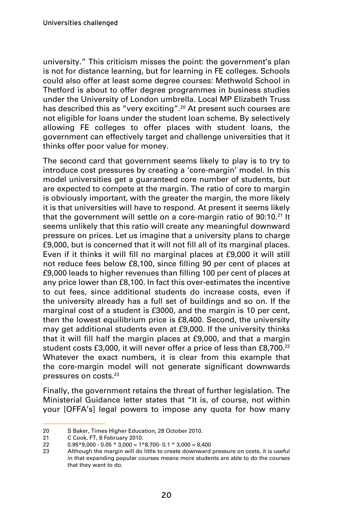university." This criticism misses the point: the government's plan is not for distance learning, but for learning in FE colleges. Schools could also offer at least some degree courses: Methwold School in Thetford is about to offer degree programmes in business studies under the University of London umbrella. Local MP Elizabeth Truss has described this as "very exciting".<sup>20</sup> At present such courses are not eligible for loans under the student loan scheme. By selectively allowing FE colleges to offer places with student loans, the government can effectively target and challenge universities that it thinks offer poor value for money.

The second card that government seems likely to play is to try to introduce cost pressures by creating a 'core-margin' model. In this model universities get a guaranteed core number of students, but are expected to compete at the margin. The ratio of core to margin is obviously important, with the greater the margin, the more likely it is that universities will have to respond. At present it seems likely that the government will settle on a core-margin ratio of 90:10.<sup>21</sup> It seems unlikely that this ratio will create any meaningful downward pressure on prices. Let us imagine that a university plans to charge £9,000, but is concerned that it will not fill all of its marginal places. Even if it thinks it will fill no marginal places at £9,000 it will still not reduce fees below £8,100, since filling 90 per cent of places at £9,000 leads to higher revenues than filling 100 per cent of places at any price lower than £8,100. In fact this over-estimates the incentive to cut fees, since additional students do increase costs, even if the university already has a full set of buildings and so on. If the marginal cost of a student is £3000, and the margin is 10 per cent, then the lowest equilibrium price is £8,400. Second, the university may get additional students even at £9,000. If the university thinks that it will fill half the margin places at £9,000, and that a margin student costs £3,000, it will never offer a price of less than £8,700.<sup>22</sup> Whatever the exact numbers, it is clear from this example that the core-margin model will not generate significant downwards pressures on costs.<sup>23</sup>

Finally, the government retains the threat of further legislation. The Ministerial Guidance letter states that "It is, of course, not within your [OFFA's] legal powers to impose any quota for how many

<sup>20</sup> S Baker, Times Higher Education, 28 October 2010.

<sup>21</sup> C Cook, FT, 8 February 2010.

<sup>22</sup>  $0.95*9,000 - 0.05 * 3,000 = 1*8,700 - 0.1 * 3,000 = 8,400$ 

<sup>23</sup> Although the margin will do little to create downward pressure on costs, it is useful in that expanding popular courses means more students are able to do the courses that they want to do.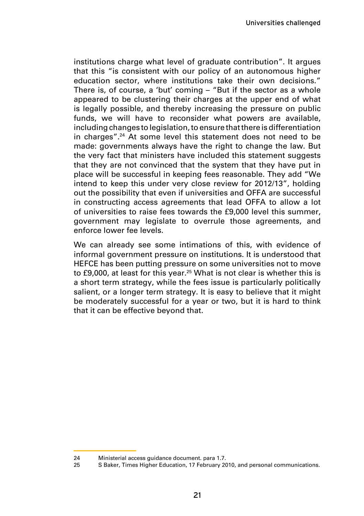institutions charge what level of graduate contribution". It argues that this "is consistent with our policy of an autonomous higher education sector, where institutions take their own decisions." There is, of course, a 'but' coming – "But if the sector as a whole appeared to be clustering their charges at the upper end of what is legally possible, and thereby increasing the pressure on public funds, we will have to reconsider what powers are available, including changes to legislation, to ensure that there is differentiation in charges".24 At some level this statement does not need to be made: governments always have the right to change the law. But the very fact that ministers have included this statement suggests that they are not convinced that the system that they have put in place will be successful in keeping fees reasonable. They add "We intend to keep this under very close review for 2012/13", holding out the possibility that even if universities and OFFA are successful in constructing access agreements that lead OFFA to allow a lot of universities to raise fees towards the £9,000 level this summer, government may legislate to overrule those agreements, and enforce lower fee levels.

We can already see some intimations of this, with evidence of informal government pressure on institutions. It is understood that HEFCE has been putting pressure on some universities not to move to £9,000, at least for this year.<sup>25</sup> What is not clear is whether this is a short term strategy, while the fees issue is particularly politically salient, or a longer term strategy. It is easy to believe that it might be moderately successful for a year or two, but it is hard to think that it can be effective beyond that.

<sup>24</sup> Ministerial access guidance document. para 1.7.

<sup>25</sup> S Baker, Times Higher Education, 17 February 2010, and personal communications.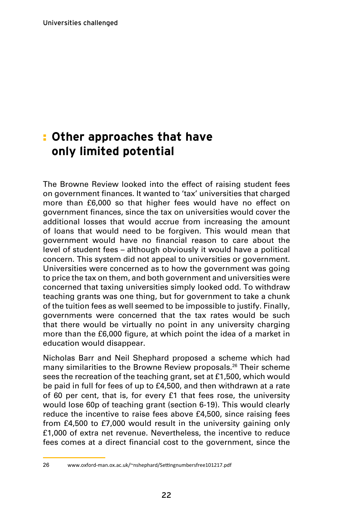### **Other approaches that have**  :**only limited potential**

The Browne Review looked into the effect of raising student fees on government finances. It wanted to 'tax' universities that charged more than £6,000 so that higher fees would have no effect on government finances, since the tax on universities would cover the additional losses that would accrue from increasing the amount of loans that would need to be forgiven. This would mean that government would have no financial reason to care about the level of student fees – although obviously it would have a political concern. This system did not appeal to universities or government. Universities were concerned as to how the government was going to price the tax on them, and both government and universities were concerned that taxing universities simply looked odd. To withdraw teaching grants was one thing, but for government to take a chunk of the tuition fees as well seemed to be impossible to justify. Finally, governments were concerned that the tax rates would be such that there would be virtually no point in any university charging more than the £6,000 figure, at which point the idea of a market in education would disappear.

Nicholas Barr and Neil Shephard proposed a scheme which had many similarities to the Browne Review proposals.<sup>26</sup> Their scheme sees the recreation of the teaching grant, set at £1,500, which would be paid in full for fees of up to £4,500, and then withdrawn at a rate of 60 per cent, that is, for every £1 that fees rose, the university would lose 60p of teaching grant (section 6-19). This would clearly reduce the incentive to raise fees above £4,500, since raising fees from £4,500 to £7,000 would result in the university gaining only £1,000 of extra net revenue. Nevertheless, the incentive to reduce fees comes at a direct financial cost to the government, since the

<sup>26</sup> www.oxford-man.ox.ac.uk/~nshephard/Settingnumbersfree101217.pdf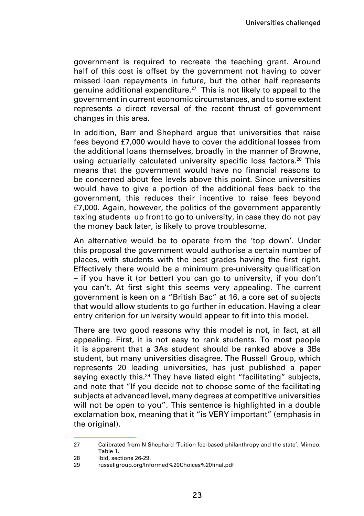government is required to recreate the teaching grant. Around half of this cost is offset by the government not having to cover missed loan repayments in future, but the other half represents genuine additional expenditure.<sup>27</sup> This is not likely to appeal to the government in current economic circumstances, and to some extent represents a direct reversal of the recent thrust of government changes in this area.

In addition, Barr and Shephard argue that universities that raise fees beyond £7,000 would have to cover the additional losses from the additional loans themselves, broadly in the manner of Browne, using actuarially calculated university specific loss factors.<sup>28</sup> This means that the government would have no financial reasons to be concerned about fee levels above this point. Since universities would have to give a portion of the additional fees back to the government, this reduces their incentive to raise fees beyond £7,000. Again, however, the politics of the government apparently taxing students up front to go to university, in case they do not pay the money back later, is likely to prove troublesome.

An alternative would be to operate from the 'top down'. Under this proposal the government would authorise a certain number of places, with students with the best grades having the first right. Effectively there would be a minimum pre-university qualification – if you have it (or better) you can go to university, if you don't you can't. At first sight this seems very appealing. The current government is keen on a "British Bac" at 16, a core set of subjects that would allow students to go further in education. Having a clear entry criterion for university would appear to fit into this model.

There are two good reasons why this model is not, in fact, at all appealing. First, it is not easy to rank students. To most people it is apparent that a 3As student should be ranked above a 3Bs student, but many universities disagree. The Russell Group, which represents 20 leading universities, has just published a paper saying exactly this.<sup>29</sup> They have listed eight "facilitating" subjects, and note that "If you decide not to choose some of the facilitating subjects at advanced level, many degrees at competitive universities will not be open to you". This sentence is highlighted in a double exclamation box, meaning that it "is VERY important" (emphasis in the original).

<sup>27</sup> Calibrated from N Shephard 'Tuition fee-based philanthropy and the state', Mimeo, Table 1.

<sup>28</sup> ibid, sections 26-29

<sup>29</sup> russellgroup.org/Informed%20Choices%20final.pdf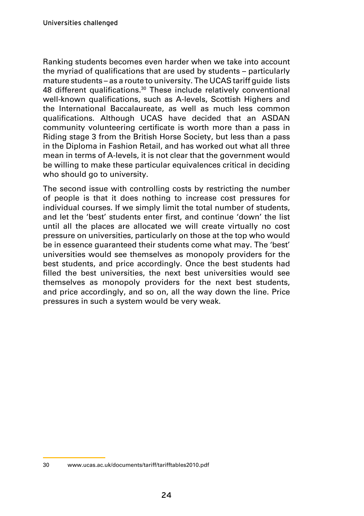Ranking students becomes even harder when we take into account the myriad of qualifications that are used by students – particularly mature students – as a route to university. The UCAS tariff guide lists 48 different qualifications.<sup>30</sup> These include relatively conventional well-known qualifications, such as A-levels, Scottish Highers and the International Baccalaureate, as well as much less common qualifications. Although UCAS have decided that an ASDAN community volunteering certificate is worth more than a pass in Riding stage 3 from the British Horse Society, but less than a pass in the Diploma in Fashion Retail, and has worked out what all three mean in terms of A-levels, it is not clear that the government would be willing to make these particular equivalences critical in deciding who should go to university.

The second issue with controlling costs by restricting the number of people is that it does nothing to increase cost pressures for individual courses. If we simply limit the total number of students, and let the 'best' students enter first, and continue 'down' the list until all the places are allocated we will create virtually no cost pressure on universities, particularly on those at the top who would be in essence guaranteed their students come what may. The 'best' universities would see themselves as monopoly providers for the best students, and price accordingly. Once the best students had filled the best universities, the next best universities would see themselves as monopoly providers for the next best students, and price accordingly, and so on, all the way down the line. Price pressures in such a system would be very weak.

<sup>30</sup> www.ucas.ac.uk/documents/tariff/tarifftables2010.pdf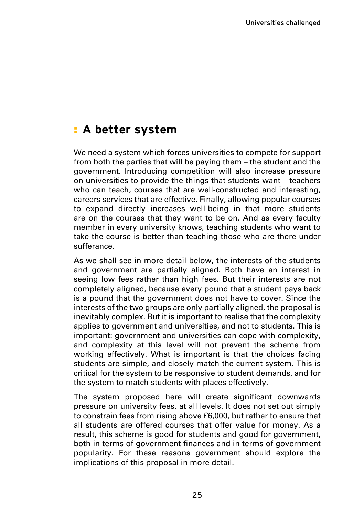### **A better system** :

We need a system which forces universities to compete for support from both the parties that will be paying them – the student and the government. Introducing competition will also increase pressure on universities to provide the things that students want – teachers who can teach, courses that are well-constructed and interesting, careers services that are effective. Finally, allowing popular courses to expand directly increases well-being in that more students are on the courses that they want to be on. And as every faculty member in every university knows, teaching students who want to take the course is better than teaching those who are there under sufferance.

As we shall see in more detail below, the interests of the students and government are partially aligned. Both have an interest in seeing low fees rather than high fees. But their interests are not completely aligned, because every pound that a student pays back is a pound that the government does not have to cover. Since the interests of the two groups are only partially aligned, the proposal is inevitably complex. But it is important to realise that the complexity applies to government and universities, and not to students. This is important: government and universities can cope with complexity, and complexity at this level will not prevent the scheme from working effectively. What is important is that the choices facing students are simple, and closely match the current system. This is critical for the system to be responsive to student demands, and for the system to match students with places effectively.

The system proposed here will create significant downwards pressure on university fees, at all levels. It does not set out simply to constrain fees from rising above £6,000, but rather to ensure that all students are offered courses that offer value for money. As a result, this scheme is good for students and good for government, both in terms of government finances and in terms of government popularity. For these reasons government should explore the implications of this proposal in more detail.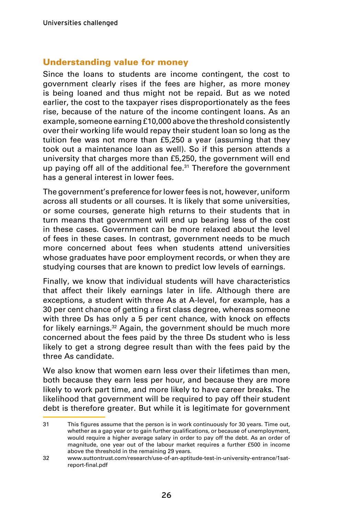#### Understanding value for money

Since the loans to students are income contingent, the cost to government clearly rises if the fees are higher, as more money is being loaned and thus might not be repaid. But as we noted earlier, the cost to the taxpayer rises disproportionately as the fees rise, because of the nature of the income contingent loans. As an example, someone earning £10,000 above the threshold consistently over their working life would repay their student loan so long as the tuition fee was not more than £5,250 a year (assuming that they took out a maintenance loan as well). So if this person attends a university that charges more than £5,250, the government will end up paying off all of the additional fee.<sup>31</sup> Therefore the government has a general interest in lower fees.

The government's preference for lower fees is not, however, uniform across all students or all courses. It is likely that some universities, or some courses, generate high returns to their students that in turn means that government will end up bearing less of the cost in these cases. Government can be more relaxed about the level of fees in these cases. In contrast, government needs to be much more concerned about fees when students attend universities whose graduates have poor employment records, or when they are studying courses that are known to predict low levels of earnings.

Finally, we know that individual students will have characteristics that affect their likely earnings later in life. Although there are exceptions, a student with three As at A-level, for example, has a 30 per cent chance of getting a first class degree, whereas someone with three Ds has only a 5 per cent chance, with knock on effects for likely earnings.<sup>32</sup> Again, the government should be much more concerned about the fees paid by the three Ds student who is less likely to get a strong degree result than with the fees paid by the three As candidate.

We also know that women earn less over their lifetimes than men, both because they earn less per hour, and because they are more likely to work part time, and more likely to have career breaks. The likelihood that government will be required to pay off their student debt is therefore greater. But while it is legitimate for government

<sup>31</sup> This figures assume that the person is in work continuously for 30 years. Time out, whether as a gap year or to gain further qualifications, or because of unemployment, would require a higher average salary in order to pay off the debt. As an order of magnitude, one year out of the labour market requires a further £500 in income above the threshold in the remaining 29 years.

<sup>32</sup> www.suttontrust.com/research/use-of-an-aptitude-test-in-university-entrance/1satreport-final.pdf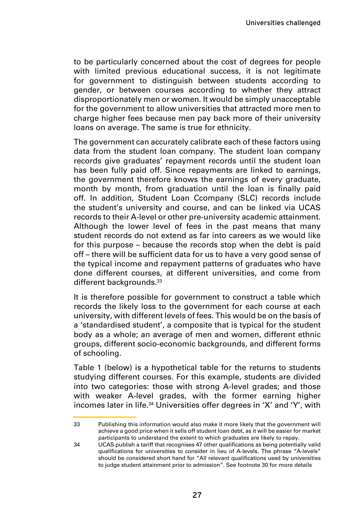to be particularly concerned about the cost of degrees for people with limited previous educational success, it is not legitimate for government to distinguish between students according to gender, or between courses according to whether they attract disproportionately men or women. It would be simply unacceptable for the government to allow universities that attracted more men to charge higher fees because men pay back more of their university loans on average. The same is true for ethnicity.

The government can accurately calibrate each of these factors using data from the student loan company. The student loan company records give graduates' repayment records until the student loan has been fully paid off. Since repayments are linked to earnings, the government therefore knows the earnings of every graduate, month by month, from graduation until the loan is finally paid off. In addition, Student Loan Ccompany (SLC) records include the student's university and course, and can be linked via UCAS records to their A-level or other pre-university academic attainment. Although the lower level of fees in the past means that many student records do not extend as far into careers as we would like for this purpose – because the records stop when the debt is paid off – there will be sufficient data for us to have a very good sense of the typical income and repayment patterns of graduates who have done different courses, at different universities, and come from different backgrounds.<sup>33</sup>

It is therefore possible for government to construct a table which records the likely loss to the government for each course at each university, with different levels of fees. This would be on the basis of a 'standardised student', a composite that is typical for the student body as a whole; an average of men and women, different ethnic groups, different socio-economic backgrounds, and different forms of schooling.

Table 1 (below) is a hypothetical table for the returns to students studying different courses. For this example, students are divided into two categories: those with strong A-level grades; and those with weaker A-level grades, with the former earning higher incomes later in life.<sup>34</sup> Universities offer degrees in 'X' and 'Y', with

<sup>33</sup> Publishing this information would also make it more likely that the government will achieve a good price when it sells off student loan debt, as it will be easier for market participants to understand the extent to which graduates are likely to repay.

<sup>34</sup> UCAS publish a tariff that recognises 47 other qualifications as being potentially valid qualifications for universities to consider in lieu of A-levels. The phrase "A-levels" should be considered short hand for "All relevant qualifications used by universities to judge student attainment prior to admission". See footnote 30 for more details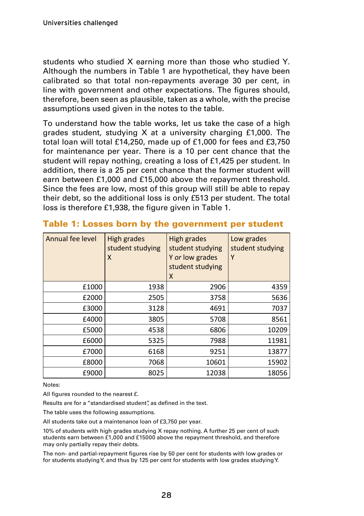students who studied X earning more than those who studied Y. Although the numbers in Table 1 are hypothetical, they have been calibrated so that total non-repayments average 30 per cent, in line with government and other expectations. The figures should, therefore, been seen as plausible, taken as a whole, with the precise assumptions used given in the notes to the table.

To understand how the table works, let us take the case of a high grades student, studying X at a university charging £1,000. The total loan will total £14,250, made up of £1,000 for fees and £3,750 for maintenance per year. There is a 10 per cent chance that the student will repay nothing, creating a loss of £1,425 per student. In addition, there is a 25 per cent chance that the former student will earn between £1,000 and £15,000 above the repayment threshold. Since the fees are low, most of this group will still be able to repay their debt, so the additional loss is only £513 per student. The total loss is therefore £1,938, the figure given in Table 1.

| Annual fee level | High grades<br>student studying<br>X | High grades<br>student studying<br>Y or low grades<br>student studying<br>X | Low grades<br>student studying<br>Y |
|------------------|--------------------------------------|-----------------------------------------------------------------------------|-------------------------------------|
| £1000            | 1938                                 | 2906                                                                        | 4359                                |
| £2000            | 2505                                 | 3758                                                                        | 5636                                |
| £3000            | 3128                                 | 4691                                                                        | 7037                                |
| £4000            | 3805                                 | 5708                                                                        | 8561                                |
| £5000            | 4538                                 | 6806                                                                        | 10209                               |
| £6000            | 5325                                 | 7988                                                                        | 11981                               |
| £7000            | 6168                                 | 9251                                                                        | 13877                               |
| £8000            | 7068                                 | 10601                                                                       | 15902                               |
| £9000            | 8025                                 | 12038                                                                       | 18056                               |

#### Table 1: Losses born by the government per student

Notes:

All figures rounded to the nearest £.

Results are for a "standardised student" as defined in the text.

The table uses the following assumptions.

All students take out a maintenance loan of £3,750 per year.

10% of students with high grades studying X repay nothing. A further 25 per cent of such students earn between £1,000 and £15000 above the repayment threshold, and therefore may only partially repay their debts.

The non- and partial-repayment figures rise by 50 per cent for students with low grades or for students studying Y, and thus by 125 per cent for students with low grades studying Y.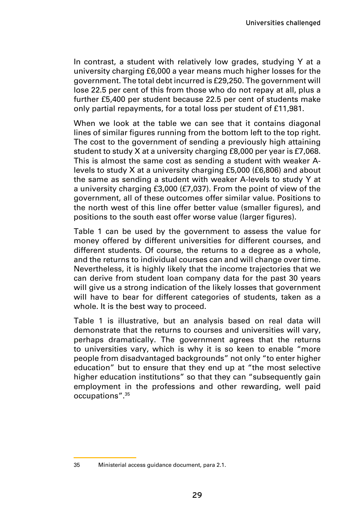In contrast, a student with relatively low grades, studying Y at a university charging £6,000 a year means much higher losses for the government. The total debt incurred is £29,250. The government will lose 22.5 per cent of this from those who do not repay at all, plus a further £5,400 per student because 22.5 per cent of students make only partial repayments, for a total loss per student of £11,981.

When we look at the table we can see that it contains diagonal lines of similar figures running from the bottom left to the top right. The cost to the government of sending a previously high attaining student to study X at a university charging £8,000 per year is £7,068. This is almost the same cost as sending a student with weaker Alevels to study X at a university charging £5,000 (£6,806) and about the same as sending a student with weaker A-levels to study Y at a university charging £3,000 (£7,037). From the point of view of the government, all of these outcomes offer similar value. Positions to the north west of this line offer better value (smaller figures), and positions to the south east offer worse value (larger figures).

Table 1 can be used by the government to assess the value for money offered by different universities for different courses, and different students. Of course, the returns to a degree as a whole, and the returns to individual courses can and will change over time. Nevertheless, it is highly likely that the income trajectories that we can derive from student loan company data for the past 30 years will give us a strong indication of the likely losses that government will have to bear for different categories of students, taken as a whole. It is the best way to proceed.

Table 1 is illustrative, but an analysis based on real data will demonstrate that the returns to courses and universities will vary, perhaps dramatically. The government agrees that the returns to universities vary, which is why it is so keen to enable "more people from disadvantaged backgrounds" not only "to enter higher education" but to ensure that they end up at "the most selective higher education institutions" so that they can "subsequently gain employment in the professions and other rewarding, well paid occupations".<sup>35</sup>

<sup>35</sup> Ministerial access guidance document, para 2.1.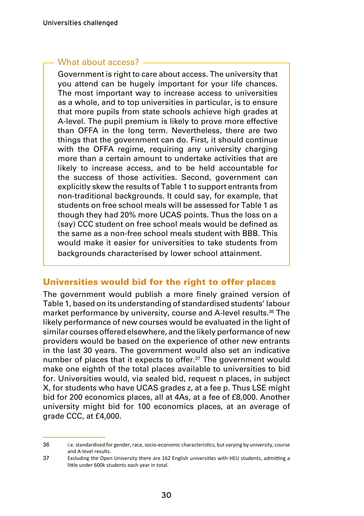#### What about access?

Government is right to care about access. The university that you attend can be hugely important for your life chances. The most important way to increase access to universities as a whole, and to top universities in particular, is to ensure that more pupils from state schools achieve high grades at A-level. The pupil premium is likely to prove more effective than OFFA in the long term. Nevertheless, there are two things that the government can do. First, it should continue with the OFFA regime, requiring any university charging more than a certain amount to undertake activities that are likely to increase access, and to be held accountable for the success of those activities. Second, government can explicitly skew the results of Table 1 to support entrants from non-traditional backgrounds. It could say, for example, that students on free school meals will be assessed for Table 1 as though they had 20% more UCAS points. Thus the loss on a (say) CCC student on free school meals would be defined as the same as a non-free school meals student with BBB. This would make it easier for universities to take students from backgrounds characterised by lower school attainment.

#### Universities would bid for the right to offer places

The government would publish a more finely grained version of Table 1, based on its understanding of standardised students' labour market performance by university, course and A-level results.<sup>36</sup> The likely performance of new courses would be evaluated in the light of similar courses offered elsewhere, and the likely performance of new providers would be based on the experience of other new entrants in the last 30 years. The government would also set an indicative number of places that it expects to offer.<sup>37</sup> The government would make one eighth of the total places available to universities to bid for. Universities would, via sealed bid, request n places, in subject X, for students who have UCAS grades z, at a fee p. Thus LSE might bid for 200 economics places, all at 4As, at a fee of £8,000. Another university might bid for 100 economics places, at an average of grade CCC, at £4,000.

<sup>36</sup> i.e. standardised for gender, race, socio-economic characteristics, but varying by university, course and A-level results.

<sup>37</sup> Excluding the Open University there are 162 English universities with HEU students, admitting a little under 600k students each year in total.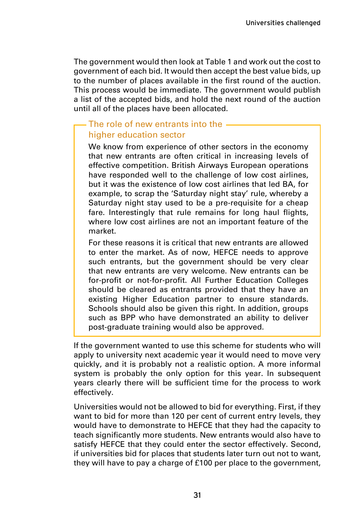The government would then look at Table 1 and work out the cost to government of each bid. It would then accept the best value bids, up to the number of places available in the first round of the auction. This process would be immediate. The government would publish a list of the accepted bids, and hold the next round of the auction until all of the places have been allocated.

#### The role of new entrants into the higher education sector

We know from experience of other sectors in the economy that new entrants are often critical in increasing levels of effective competition. British Airways European operations have responded well to the challenge of low cost airlines. but it was the existence of low cost airlines that led BA, for example, to scrap the 'Saturday night stay' rule, whereby a Saturday night stay used to be a pre-requisite for a cheap fare. Interestingly that rule remains for long haul flights, where low cost airlines are not an important feature of the market.

For these reasons it is critical that new entrants are allowed to enter the market. As of now, HEFCE needs to approve such entrants, but the government should be very clear that new entrants are very welcome. New entrants can be for-profit or not-for-profit. All Further Education Colleges should be cleared as entrants provided that they have an existing Higher Education partner to ensure standards. Schools should also be given this right. In addition, groups such as BPP who have demonstrated an ability to deliver post-graduate training would also be approved.

If the government wanted to use this scheme for students who will apply to university next academic year it would need to move very quickly, and it is probably not a realistic option. A more informal system is probably the only option for this year. In subsequent years clearly there will be sufficient time for the process to work effectively.

Universities would not be allowed to bid for everything. First, if they want to bid for more than 120 per cent of current entry levels, they would have to demonstrate to HEFCE that they had the capacity to teach significantly more students. New entrants would also have to satisfy HEFCE that they could enter the sector effectively. Second, if universities bid for places that students later turn out not to want, they will have to pay a charge of £100 per place to the government,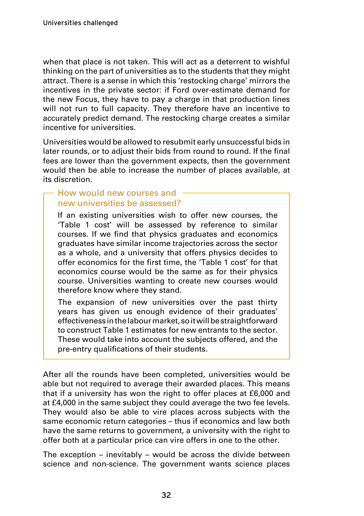when that place is not taken. This will act as a deterrent to wishful thinking on the part of universities as to the students that they might attract. There is a sense in which this 'restocking charge' mirrors the incentives in the private sector: if Ford over-estimate demand for the new Focus, they have to pay a charge in that production lines will not run to full capacity. They therefore have an incentive to accurately predict demand. The restocking charge creates a similar incentive for universities.

Universities would be allowed to resubmit early unsuccessful bids in later rounds, or to adjust their bids from round to round. If the final fees are lower than the government expects, then the government would then be able to increase the number of places available, at its discretion.

#### How would new courses and new universities be assessed?

If an existing universities wish to offer new courses, the 'Table 1 cost' will be assessed by reference to similar courses. If we find that physics graduates and economics graduates have similar income trajectories across the sector as a whole, and a university that offers physics decides to offer economics for the first time, the 'Table 1 cost' for that economics course would be the same as for their physics course. Universities wanting to create new courses would therefore know where they stand.

The expansion of new universities over the past thirty years has given us enough evidence of their graduates' effectiveness in the labour market, so it will be straightforward to construct Table 1 estimates for new entrants to the sector. These would take into account the subjects offered, and the pre-entry qualifications of their students.

After all the rounds have been completed, universities would be able but not required to average their awarded places. This means that if a university has won the right to offer places at £6,000 and at £4,000 in the same subject they could average the two fee levels. They would also be able to vire places across subjects with the same economic return categories – thus if economics and law both have the same returns to government, a university with the right to offer both at a particular price can vire offers in one to the other.

The exception – inevitably – would be across the divide between science and non-science. The government wants science places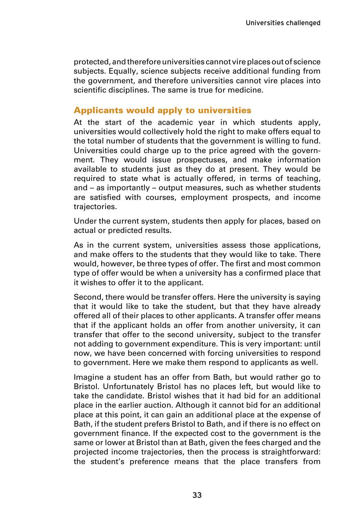protected, and therefore universities cannot vire places out of science subjects. Equally, science subjects receive additional funding from the government, and therefore universities cannot vire places into scientific disciplines. The same is true for medicine.

#### Applicants would apply to universities

At the start of the academic year in which students apply, universities would collectively hold the right to make offers equal to the total number of students that the government is willing to fund. Universities could charge up to the price agreed with the government. They would issue prospectuses, and make information available to students just as they do at present. They would be required to state what is actually offered, in terms of teaching, and – as importantly – output measures, such as whether students are satisfied with courses, employment prospects, and income trajectories.

Under the current system, students then apply for places, based on actual or predicted results.

As in the current system, universities assess those applications, and make offers to the students that they would like to take. There would, however, be three types of offer. The first and most common type of offer would be when a university has a confirmed place that it wishes to offer it to the applicant.

Second, there would be transfer offers. Here the university is saying that it would like to take the student, but that they have already offered all of their places to other applicants. A transfer offer means that if the applicant holds an offer from another university, it can transfer that offer to the second university, subject to the transfer not adding to government expenditure. This is very important: until now, we have been concerned with forcing universities to respond to government. Here we make them respond to applicants as well.

Imagine a student has an offer from Bath, but would rather go to Bristol. Unfortunately Bristol has no places left, but would like to take the candidate. Bristol wishes that it had bid for an additional place in the earlier auction. Although it cannot bid for an additional place at this point, it can gain an additional place at the expense of Bath, if the student prefers Bristol to Bath, and if there is no effect on government finance. If the expected cost to the government is the same or lower at Bristol than at Bath, given the fees charged and the projected income trajectories, then the process is straightforward: the student's preference means that the place transfers from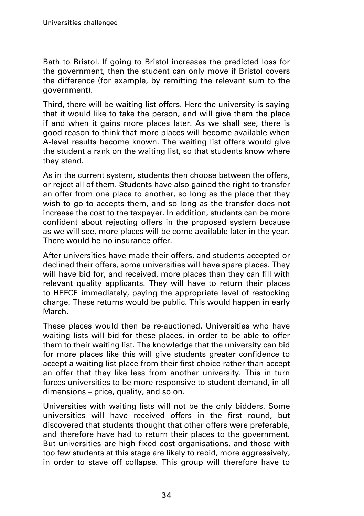Bath to Bristol. If going to Bristol increases the predicted loss for the government, then the student can only move if Bristol covers the difference (for example, by remitting the relevant sum to the government).

Third, there will be waiting list offers. Here the university is saying that it would like to take the person, and will give them the place if and when it gains more places later. As we shall see, there is good reason to think that more places will become available when A-level results become known. The waiting list offers would give the student a rank on the waiting list, so that students know where they stand.

As in the current system, students then choose between the offers, or reject all of them. Students have also gained the right to transfer an offer from one place to another, so long as the place that they wish to go to accepts them, and so long as the transfer does not increase the cost to the taxpayer. In addition, students can be more confident about rejecting offers in the proposed system because as we will see, more places will be come available later in the year. There would be no insurance offer.

After universities have made their offers, and students accepted or declined their offers, some universities will have spare places. They will have bid for, and received, more places than they can fill with relevant quality applicants. They will have to return their places to HEFCE immediately, paying the appropriate level of restocking charge. These returns would be public. This would happen in early March.

These places would then be re-auctioned. Universities who have waiting lists will bid for these places, in order to be able to offer them to their waiting list. The knowledge that the university can bid for more places like this will give students greater confidence to accept a waiting list place from their first choice rather than accept an offer that they like less from another university. This in turn forces universities to be more responsive to student demand, in all dimensions – price, quality, and so on.

Universities with waiting lists will not be the only bidders. Some universities will have received offers in the first round, but discovered that students thought that other offers were preferable, and therefore have had to return their places to the government. But universities are high fixed cost organisations, and those with too few students at this stage are likely to rebid, more aggressively, in order to stave off collapse. This group will therefore have to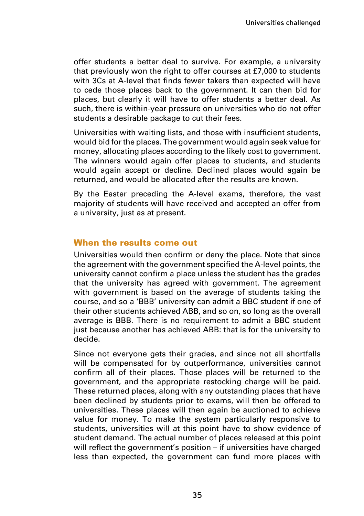offer students a better deal to survive. For example, a university that previously won the right to offer courses at £7,000 to students with 3Cs at A-level that finds fewer takers than expected will have to cede those places back to the government. It can then bid for places, but clearly it will have to offer students a better deal. As such, there is within-year pressure on universities who do not offer students a desirable package to cut their fees.

Universities with waiting lists, and those with insufficient students, would bid for the places. The government would again seek value for money, allocating places according to the likely cost to government. The winners would again offer places to students, and students would again accept or decline. Declined places would again be returned, and would be allocated after the results are known.

By the Easter preceding the A-level exams, therefore, the vast majority of students will have received and accepted an offer from a university, just as at present.

#### When the results come out

Universities would then confirm or deny the place. Note that since the agreement with the government specified the A-level points, the university cannot confirm a place unless the student has the grades that the university has agreed with government. The agreement with government is based on the average of students taking the course, and so a 'BBB' university can admit a BBC student if one of their other students achieved ABB, and so on, so long as the overall average is BBB. There is no requirement to admit a BBC student just because another has achieved ABB: that is for the university to decide.

Since not everyone gets their grades, and since not all shortfalls will be compensated for by outperformance, universities cannot confirm all of their places. Those places will be returned to the government, and the appropriate restocking charge will be paid. These returned places, along with any outstanding places that have been declined by students prior to exams, will then be offered to universities. These places will then again be auctioned to achieve value for money. To make the system particularly responsive to students, universities will at this point have to show evidence of student demand. The actual number of places released at this point will reflect the government's position – if universities have charged less than expected, the government can fund more places with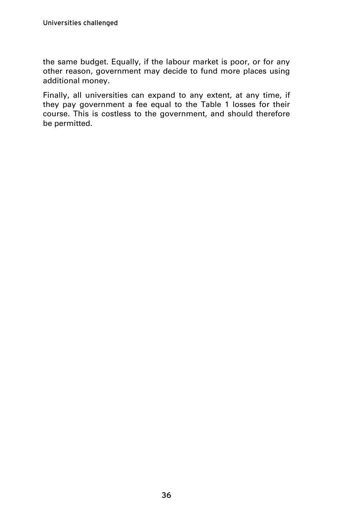the same budget. Equally, if the labour market is poor, or for any other reason, government may decide to fund more places using additional money.

Finally, all universities can expand to any extent, at any time, if they pay government a fee equal to the Table 1 losses for their course. This is costless to the government, and should therefore be permitted.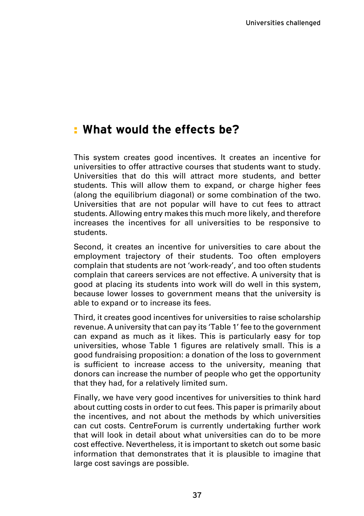### **What would the effects be?** :

This system creates good incentives. It creates an incentive for universities to offer attractive courses that students want to study. Universities that do this will attract more students, and better students. This will allow them to expand, or charge higher fees (along the equilibrium diagonal) or some combination of the two. Universities that are not popular will have to cut fees to attract students. Allowing entry makes this much more likely, and therefore increases the incentives for all universities to be responsive to students.

Second, it creates an incentive for universities to care about the employment trajectory of their students. Too often employers complain that students are not 'work-ready', and too often students complain that careers services are not effective. A university that is good at placing its students into work will do well in this system, because lower losses to government means that the university is able to expand or to increase its fees.

Third, it creates good incentives for universities to raise scholarship revenue. A university that can pay its 'Table 1' fee to the government can expand as much as it likes. This is particularly easy for top universities, whose Table 1 figures are relatively small. This is a good fundraising proposition: a donation of the loss to government is sufficient to increase access to the university, meaning that donors can increase the number of people who get the opportunity that they had, for a relatively limited sum.

Finally, we have very good incentives for universities to think hard about cutting costs in order to cut fees. This paper is primarily about the incentives, and not about the methods by which universities can cut costs. CentreForum is currently undertaking further work that will look in detail about what universities can do to be more cost effective. Nevertheless, it is important to sketch out some basic information that demonstrates that it is plausible to imagine that large cost savings are possible.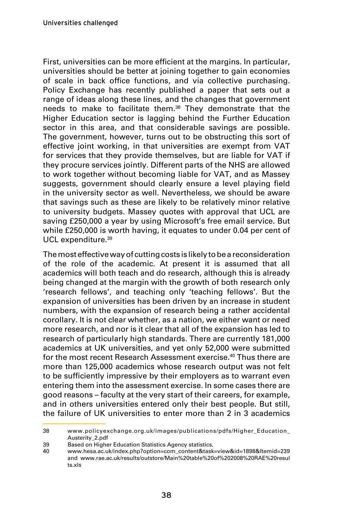First, universities can be more efficient at the margins. In particular, universities should be better at joining together to gain economies of scale in back office functions, and via collective purchasing. Policy Exchange has recently published a paper that sets out a range of ideas along these lines, and the changes that government needs to make to facilitate them.<sup>38</sup> They demonstrate that the Higher Education sector is lagging behind the Further Education sector in this area, and that considerable savings are possible. The government, however, turns out to be obstructing this sort of effective joint working, in that universities are exempt from VAT for services that they provide themselves, but are liable for VAT if they procure services jointly. Different parts of the NHS are allowed to work together without becoming liable for VAT, and as Massey suggests, government should clearly ensure a level playing field in the university sector as well. Nevertheless, we should be aware that savings such as these are likely to be relatively minor relative to university budgets. Massey quotes with approval that UCL are saving £250,000 a year by using Microsoft's free email service. But while £250,000 is worth having, it equates to under 0.04 per cent of UCL expenditure.<sup>39</sup>

The most effective way of cutting costs is likely to be a reconsideration of the role of the academic. At present it is assumed that all academics will both teach and do research, although this is already being changed at the margin with the growth of both research only 'research fellows', and teaching only 'teaching fellows'. But the expansion of universities has been driven by an increase in student numbers, with the expansion of research being a rather accidental corollary. It is not clear whether, as a nation, we either want or need more research, and nor is it clear that all of the expansion has led to research of particularly high standards. There are currently 181,000 academics at UK universities, and yet only 52,000 were submitted for the most recent Research Assessment exercise.<sup>40</sup> Thus there are more than 125,000 academics whose research output was not felt to be sufficiently impressive by their employers as to warrant even entering them into the assessment exercise. In some cases there are good reasons – faculty at the very start of their careers, for example, and in others universities entered only their best people. But still, the failure of UK universities to enter more than 2 in 3 academics

<sup>38</sup> www.policyexchange.org.uk/images/publications/pdfs/Higher\_Education\_ Austerity\_2.pdf

<sup>39</sup> Based on Higher Education Statistics Agency statistics.<br>40 www.hesa.ac.uk/index.php?option=com content&task

<sup>40</sup> www.hesa.ac.uk/index.php?option=com\_content&task=view&id=1898&Itemid=239 and www.rae.ac.uk/results/outstore/Main%20table%20of%202008%20RAE%20resul ts.xls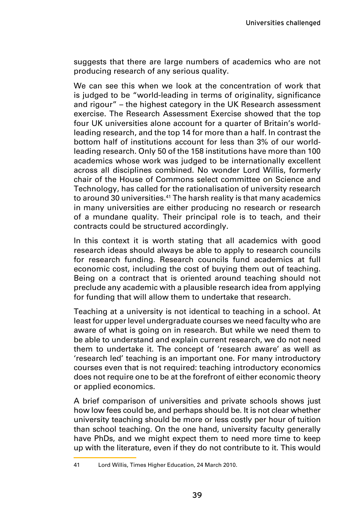suggests that there are large numbers of academics who are not producing research of any serious quality.

We can see this when we look at the concentration of work that is judged to be "world-leading in terms of originality, significance and rigour" – the highest category in the UK Research assessment exercise. The Research Assessment Exercise showed that the top four UK universities alone account for a quarter of Britain's worldleading research, and the top 14 for more than a half. In contrast the bottom half of institutions account for less than 3% of our worldleading research. Only 50 of the 158 institutions have more than 100 academics whose work was judged to be internationally excellent across all disciplines combined. No wonder Lord Willis, formerly chair of the House of Commons select committee on Science and Technology, has called for the rationalisation of university research to around 30 universities.<sup>41</sup> The harsh reality is that many academics in many universities are either producing no research or research of a mundane quality. Their principal role is to teach, and their contracts could be structured accordingly.

In this context it is worth stating that all academics with good research ideas should always be able to apply to research councils for research funding. Research councils fund academics at full economic cost, including the cost of buying them out of teaching. Being on a contract that is oriented around teaching should not preclude any academic with a plausible research idea from applying for funding that will allow them to undertake that research.

Teaching at a university is not identical to teaching in a school. At least for upper level undergraduate courses we need faculty who are aware of what is going on in research. But while we need them to be able to understand and explain current research, we do not need them to undertake it. The concept of 'research aware' as well as 'research led' teaching is an important one. For many introductory courses even that is not required: teaching introductory economics does not require one to be at the forefront of either economic theory or applied economics.

A brief comparison of universities and private schools shows just how low fees could be, and perhaps should be. It is not clear whether university teaching should be more or less costly per hour of tuition than school teaching. On the one hand, university faculty generally have PhDs, and we might expect them to need more time to keep up with the literature, even if they do not contribute to it. This would

<sup>41</sup> Lord Willis, Times Higher Education, 24 March 2010.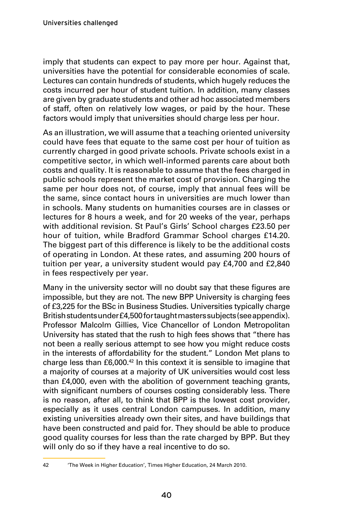imply that students can expect to pay more per hour. Against that, universities have the potential for considerable economies of scale. Lectures can contain hundreds of students, which hugely reduces the costs incurred per hour of student tuition. In addition, many classes are given by graduate students and other ad hoc associated members of staff, often on relatively low wages, or paid by the hour. These factors would imply that universities should charge less per hour.

As an illustration, we will assume that a teaching oriented university could have fees that equate to the same cost per hour of tuition as currently charged in good private schools. Private schools exist in a competitive sector, in which well-informed parents care about both costs and quality. It is reasonable to assume that the fees charged in public schools represent the market cost of provision. Charging the same per hour does not, of course, imply that annual fees will be the same, since contact hours in universities are much lower than in schools. Many students on humanities courses are in classes or lectures for 8 hours a week, and for 20 weeks of the year, perhaps with additional revision. St Paul's Girls' School charges £23.50 per hour of tuition, while Bradford Grammar School charges £14.20. The biggest part of this difference is likely to be the additional costs of operating in London. At these rates, and assuming 200 hours of tuition per year, a university student would pay £4,700 and £2,840 in fees respectively per year.

Many in the university sector will no doubt say that these figures are impossible, but they are not. The new BPP University is charging fees of £3,225 for the BSc in Business Studies. Universities typically charge British students under £4,500 for taught masters subjects (see appendix). Professor Malcolm Gillies, Vice Chancellor of London Metropolitan University has stated that the rush to high fees shows that "there has not been a really serious attempt to see how you might reduce costs in the interests of affordability for the student." London Met plans to charge less than £6,000.42 In this context it is sensible to imagine that a majority of courses at a majority of UK universities would cost less than £4,000, even with the abolition of government teaching grants, with significant numbers of courses costing considerably less. There is no reason, after all, to think that BPP is the lowest cost provider, especially as it uses central London campuses. In addition, many existing universities already own their sites, and have buildings that have been constructed and paid for. They should be able to produce good quality courses for less than the rate charged by BPP. But they will only do so if they have a real incentive to do so.

<sup>42</sup> 'The Week in Higher Education', Times Higher Education, 24 March 2010.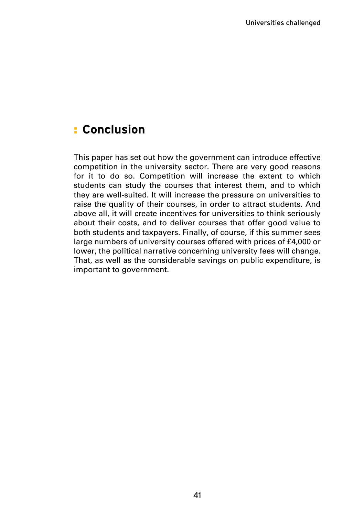### **E** Conclusion

This paper has set out how the government can introduce effective competition in the university sector. There are very good reasons for it to do so. Competition will increase the extent to which students can study the courses that interest them, and to which they are well-suited. It will increase the pressure on universities to raise the quality of their courses, in order to attract students. And above all, it will create incentives for universities to think seriously about their costs, and to deliver courses that offer good value to both students and taxpayers. Finally, of course, if this summer sees large numbers of university courses offered with prices of £4,000 or lower, the political narrative concerning university fees will change. That, as well as the considerable savings on public expenditure, is important to government.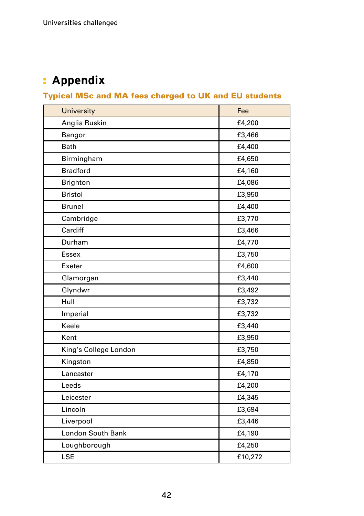### **Appendix** :

### Typical MSc and MA fees charged to UK and EU students

| <b>University</b>     | Fee     |
|-----------------------|---------|
| Anglia Ruskin         | £4,200  |
| Bangor                | £3,466  |
| <b>Bath</b>           | £4,400  |
| Birmingham            | £4,650  |
| <b>Bradford</b>       | £4,160  |
| <b>Brighton</b>       | £4,086  |
| <b>Bristol</b>        | £3,950  |
| <b>Brunel</b>         | £4,400  |
| Cambridge             | £3,770  |
| Cardiff               | £3,466  |
| Durham                | £4,770  |
| <b>Essex</b>          | £3,750  |
| Exeter                | £4,600  |
| Glamorgan             | £3,440  |
| Glyndwr               | £3,492  |
| Hull                  | £3,732  |
| Imperial              | £3,732  |
| Keele                 | £3,440  |
| Kent                  | £3,950  |
| King's College London | £3,750  |
| Kingston              | £4,850  |
| Lancaster             | £4,170  |
| Leeds                 | £4,200  |
| Leicester             | £4,345  |
| Lincoln               | £3,694  |
| Liverpool             | £3,446  |
| London South Bank     | £4,190  |
| Loughborough          | £4,250  |
| LSE                   | £10,272 |